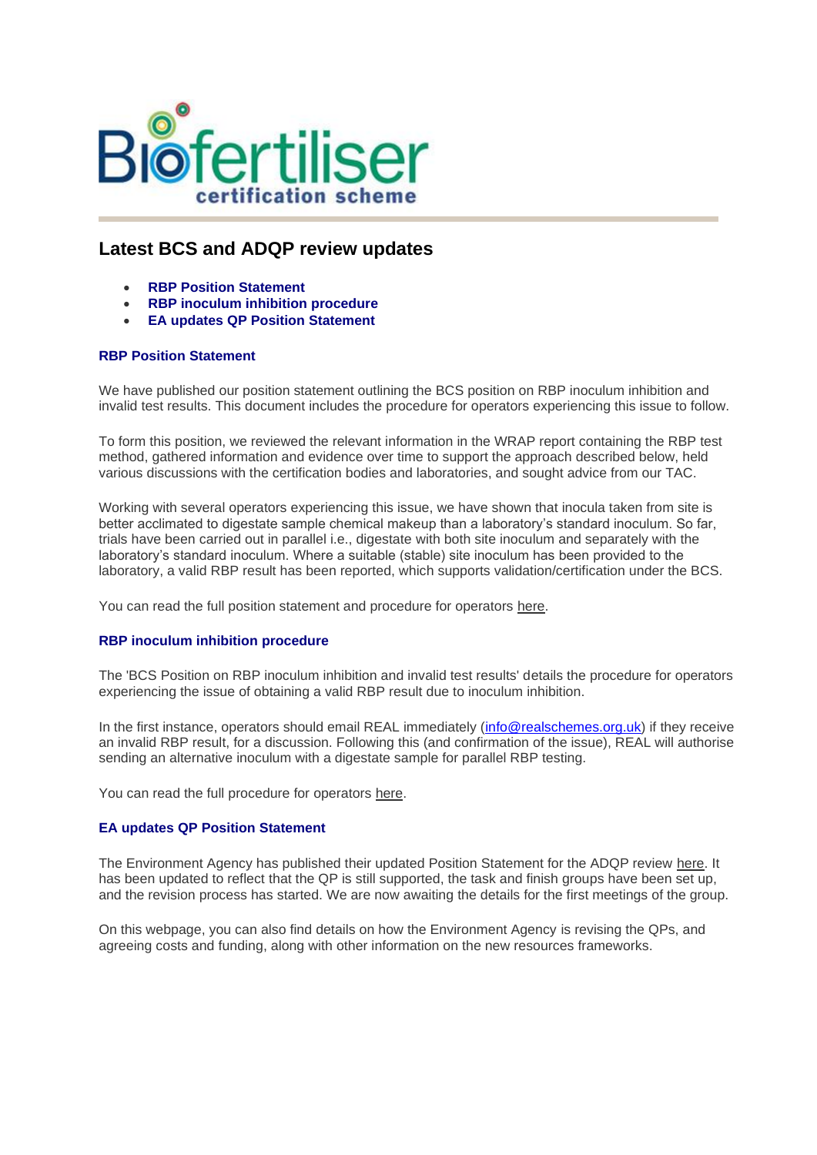

## **Latest BCS and ADQP review updates**

- **RBP Position Statement**
- **RBP inoculum inhibition procedure**
- **EA updates QP Position Statement**

## **RBP Position Statement**

We have published our position statement outlining the BCS position on RBP inoculum inhibition and invalid test results. This document includes the procedure for operators experiencing this issue to follow.

To form this position, we reviewed the relevant information in the WRAP report containing the RBP test method, gathered information and evidence over time to support the approach described below, held various discussions with the certification bodies and laboratories, and sought advice from our TAC.

Working with several operators experiencing this issue, we have shown that inocula taken from site is better acclimated to digestate sample chemical makeup than a laboratory's standard inoculum. So far, trials have been carried out in parallel i.e., digestate with both site inoculum and separately with the laboratory's standard inoculum. Where a suitable (stable) site inoculum has been provided to the laboratory, a valid RBP result has been reported, which supports validation/certification under the BCS.

You can read the full position statement and procedure for operators [here.](https://url6.mailanyone.net/v1/?m=1m9Uxx-0001yc-3u&i=57e1b682&c=STeBC3skiJf_yv_GEdz4A6FHvtKyt5CRCPBUth7yTGPb4TSQN3FFs2lHglt80A8zvtE7GzJUboZQ0CLjD1ggR_POOYy6PaTMhcYP6auIfSdcbg0Hj6KNzu4C_DsCMABC3LENCkbCKfDqtO_Px5nB9WsIKLvk9vuZCU5Z92HDQSBM4XQGoEOuM7B4-yXQR-XyoDK-QIiS7czUd5JiDwWzoHg29kUoCD7uTsLnCc5mjIkLk5s0FtsCHgES73YmJgIv)

## **RBP inoculum inhibition procedure**

The 'BCS Position on RBP inoculum inhibition and invalid test results' details the procedure for operators experiencing the issue of obtaining a valid RBP result due to inoculum inhibition.

In the first instance, operators should email REAL immediately [\(info@realschemes.org.uk\)](mailto:info@realschemes.org.uk) if they receive an invalid RBP result, for a discussion. Following this (and confirmation of the issue), REAL will authorise sending an alternative inoculum with a digestate sample for parallel RBP testing.

You can read the full procedure for operators [here.](https://url6.mailanyone.net/v1/?m=1m9Uxx-0001yc-3u&i=57e1b682&c=LERvAgpPKpaH9qUIIgNut9iRhikqAa81oqShiqBAAhzdkqyZqSYyre5rwWx3luWwlX2Q8eGbFby9ezhrTWqgwB7NVexBsgBMmbDxhYmO7o5GTAS8W_yZ9VSsCtRB9BEeD39fzcIxwR55Kmq1zSdSqxwi4Mu0h36Gzbe06JXn_0NgMe90UucL67Il3xF3rUU6vvLsfN05QROno_gCgLiZ0HwW_FHZa2YOer6TayzQF8HKkaubU05B5TKH62k5OCdU)

## **EA updates QP Position Statement**

The Environment Agency has published their updated Position Statement for the ADQP review [here.](https://url6.mailanyone.net/v1/?m=1m9Uxx-0001yc-3u&i=57e1b682&c=GbPWd7zK2HcetvF1RtgATbDOE2cYH3zHydEwXONtf43sMW54HfhlSCO2S-QZ8cU0gBGS4yCt8kGodtj5xHGJXHCsEX34LuFx6tFmSrSP1vuq_0uQuJVq-2FnwH4RGGOvnevSI_GDrIEk9UzzGb0ChjN1N1aXHYqV8lMOvXAi7hH30bGBDhOEYVqO9Th4BsIrbFUq8OMhUK9QNQ0sHqaCfL2H6bKe4VClCfzAyiw-zkVnyWb3Dad21EAoN5gZCd-c) It has been updated to reflect that the QP is still supported, the task and finish groups have been set up, and the revision process has started. We are now awaiting the details for the first meetings of the group.

On this webpage, you can also find details on how the Environment Agency is revising the QPs, and agreeing costs and funding, along with other information on the new resources frameworks.